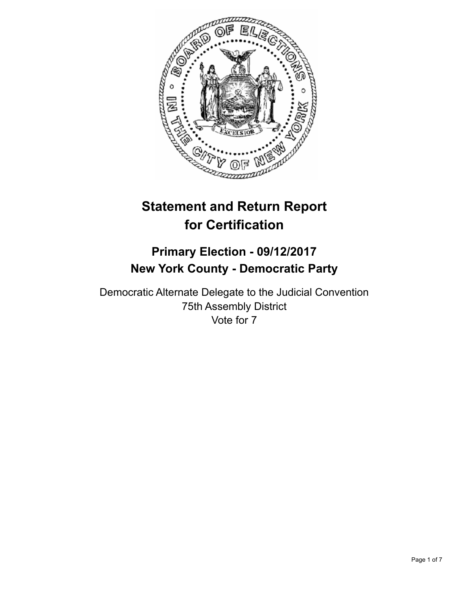

# **Statement and Return Report for Certification**

## **Primary Election - 09/12/2017 New York County - Democratic Party**

Democratic Alternate Delegate to the Judicial Convention 75th Assembly District Vote for 7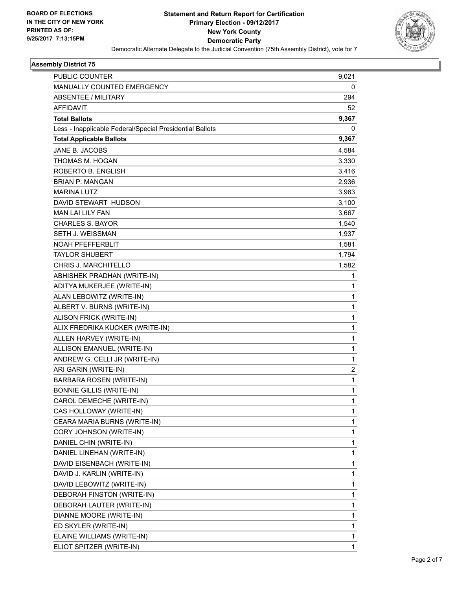

#### **Assembly District 75**

| PUBLIC COUNTER                                                                              | 9,021      |
|---------------------------------------------------------------------------------------------|------------|
| MANUALLY COUNTED EMERGENCY<br>ABSENTEE / MILITARY                                           | 0          |
|                                                                                             | 294        |
| <b>AFFIDAVIT</b>                                                                            | 52         |
| <b>Total Ballots</b>                                                                        | 9,367<br>0 |
| Less - Inapplicable Federal/Special Presidential Ballots<br><b>Total Applicable Ballots</b> | 9,367      |
| JANE B. JACOBS                                                                              |            |
|                                                                                             | 4,584      |
| THOMAS M. HOGAN                                                                             | 3,330      |
| ROBERTO B. ENGLISH                                                                          | 3,416      |
| <b>BRIAN P. MANGAN</b>                                                                      | 2,936      |
| <b>MARINA LUTZ</b>                                                                          | 3,963      |
| DAVID STEWART HUDSON                                                                        | 3,100      |
| MAN LAI LILY FAN                                                                            | 3,667      |
| <b>CHARLES S. BAYOR</b>                                                                     | 1,540      |
| SETH J. WEISSMAN                                                                            | 1,937      |
| NOAH PFEFFERBLIT                                                                            | 1,581      |
| <b>TAYLOR SHUBERT</b>                                                                       | 1,794      |
| CHRIS J. MARCHITELLO                                                                        | 1,582      |
| ABHISHEK PRADHAN (WRITE-IN)                                                                 | 1          |
| ADITYA MUKERJEE (WRITE-IN)                                                                  | 1          |
| ALAN LEBOWITZ (WRITE-IN)                                                                    | 1          |
| ALBERT V. BURNS (WRITE-IN)                                                                  | 1          |
| ALISON FRICK (WRITE-IN)                                                                     | 1          |
| ALIX FREDRIKA KUCKER (WRITE-IN)                                                             | 1          |
| ALLEN HARVEY (WRITE-IN)                                                                     | 1          |
| ALLISON EMANUEL (WRITE-IN)                                                                  | 1          |
| ANDREW G. CELLI JR (WRITE-IN)                                                               | 1          |
| ARI GARIN (WRITE-IN)                                                                        | 2          |
| <b>BARBARA ROSEN (WRITE-IN)</b>                                                             | 1          |
| <b>BONNIE GILLIS (WRITE-IN)</b>                                                             | 1          |
| CAROL DEMECHE (WRITE-IN)                                                                    | 1          |
| CAS HOLLOWAY (WRITE-IN)                                                                     | 1          |
| CEARA MARIA BURNS (WRITE-IN)                                                                | 1          |
| CORY JOHNSON (WRITE-IN)                                                                     | 1          |
| DANIEL CHIN (WRITE-IN)                                                                      | 1          |
| DANIEL LINEHAN (WRITE-IN)                                                                   | 1          |
| DAVID EISENBACH (WRITE-IN)                                                                  | 1          |
| DAVID J. KARLIN (WRITE-IN)                                                                  | 1          |
| DAVID LEBOWITZ (WRITE-IN)                                                                   | 1          |
| DEBORAH FINSTON (WRITE-IN)                                                                  | 1          |
| DEBORAH LAUTER (WRITE-IN)                                                                   | 1          |
| DIANNE MOORE (WRITE-IN)                                                                     | 1          |
| ED SKYLER (WRITE-IN)                                                                        | 1          |
| ELAINE WILLIAMS (WRITE-IN)                                                                  | 1          |
| ELIOT SPITZER (WRITE-IN)                                                                    | 1          |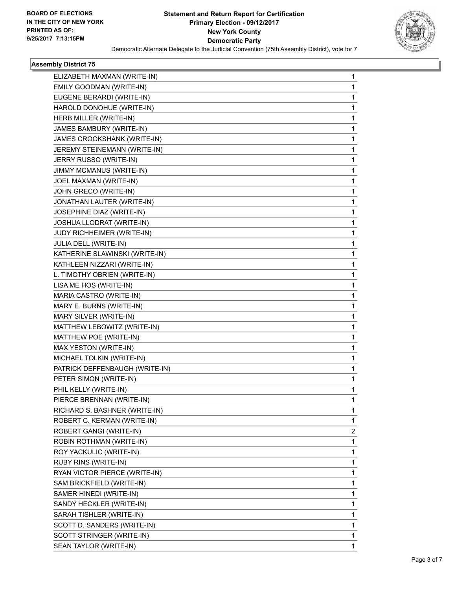

#### **Assembly District 75**

| ELIZABETH MAXMAN (WRITE-IN)    | 1            |
|--------------------------------|--------------|
| EMILY GOODMAN (WRITE-IN)       | 1            |
| EUGENE BERARDI (WRITE-IN)      | 1            |
| HAROLD DONOHUE (WRITE-IN)      | 1            |
| HERB MILLER (WRITE-IN)         | 1            |
| JAMES BAMBURY (WRITE-IN)       | 1            |
| JAMES CROOKSHANK (WRITE-IN)    | 1            |
| JEREMY STEINEMANN (WRITE-IN)   | 1            |
| JERRY RUSSO (WRITE-IN)         | $\mathbf{1}$ |
| JIMMY MCMANUS (WRITE-IN)       | 1            |
| JOEL MAXMAN (WRITE-IN)         | 1            |
| JOHN GRECO (WRITE-IN)          | $\mathbf{1}$ |
| JONATHAN LAUTER (WRITE-IN)     | 1            |
| JOSEPHINE DIAZ (WRITE-IN)      | 1            |
| JOSHUA LLODRAT (WRITE-IN)      | $\mathbf{1}$ |
| JUDY RICHHEIMER (WRITE-IN)     | 1            |
| JULIA DELL (WRITE-IN)          | 1            |
| KATHERINE SLAWINSKI (WRITE-IN) | $\mathbf{1}$ |
| KATHLEEN NIZZARI (WRITE-IN)    | 1            |
| L. TIMOTHY OBRIEN (WRITE-IN)   | 1            |
| LISA ME HOS (WRITE-IN)         | 1            |
| MARIA CASTRO (WRITE-IN)        | 1            |
| MARY E. BURNS (WRITE-IN)       | 1            |
| MARY SILVER (WRITE-IN)         | $\mathbf{1}$ |
| MATTHEW LEBOWITZ (WRITE-IN)    | 1            |
| MATTHEW POE (WRITE-IN)         | 1            |
| MAX YESTON (WRITE-IN)          | 1            |
| MICHAEL TOLKIN (WRITE-IN)      | 1            |
| PATRICK DEFFENBAUGH (WRITE-IN) | 1            |
| PETER SIMON (WRITE-IN)         | 1            |
| PHIL KELLY (WRITE-IN)          | 1            |
| PIERCE BRENNAN (WRITE-IN)      | 1            |
| RICHARD S. BASHNER (WRITE-IN)  | 1            |
| ROBERT C. KERMAN (WRITE-IN)    | $\mathbf{1}$ |
| ROBERT GANGI (WRITE-IN)        | 2            |
| ROBIN ROTHMAN (WRITE-IN)       | 1            |
| ROY YACKULIC (WRITE-IN)        | $\mathbf{1}$ |
| RUBY RINS (WRITE-IN)           | 1            |
| RYAN VICTOR PIERCE (WRITE-IN)  | 1            |
| SAM BRICKFIELD (WRITE-IN)      | 1            |
| SAMER HINEDI (WRITE-IN)        | 1            |
| SANDY HECKLER (WRITE-IN)       | 1            |
| SARAH TISHLER (WRITE-IN)       | 1            |
| SCOTT D. SANDERS (WRITE-IN)    | 1            |
| SCOTT STRINGER (WRITE-IN)      | 1            |
| SEAN TAYLOR (WRITE-IN)         | 1            |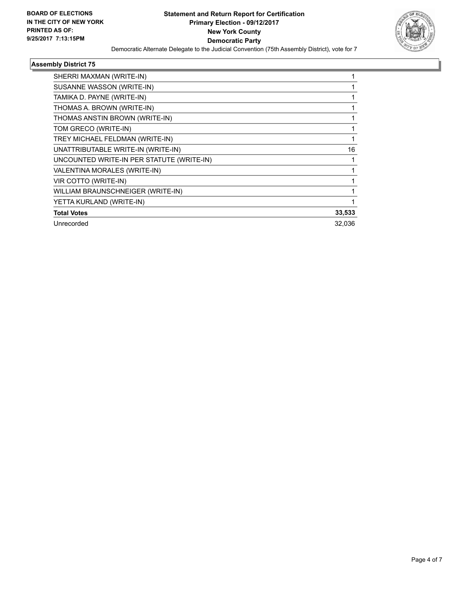

#### **Assembly District 75**

| SHERRI MAXMAN (WRITE-IN)                  |        |
|-------------------------------------------|--------|
| SUSANNE WASSON (WRITE-IN)                 |        |
| TAMIKA D. PAYNE (WRITE-IN)                |        |
| THOMAS A. BROWN (WRITE-IN)                |        |
| THOMAS ANSTIN BROWN (WRITE-IN)            |        |
| TOM GRECO (WRITE-IN)                      |        |
| TREY MICHAEL FELDMAN (WRITE-IN)           |        |
| UNATTRIBUTABLE WRITE-IN (WRITE-IN)        | 16     |
| UNCOUNTED WRITE-IN PER STATUTE (WRITE-IN) |        |
| VALENTINA MORALES (WRITE-IN)              |        |
| VIR COTTO (WRITE-IN)                      |        |
| WILLIAM BRAUNSCHNEIGER (WRITE-IN)         |        |
| YETTA KURLAND (WRITE-IN)                  |        |
| <b>Total Votes</b>                        | 33,533 |
| Unrecorded                                | 32,036 |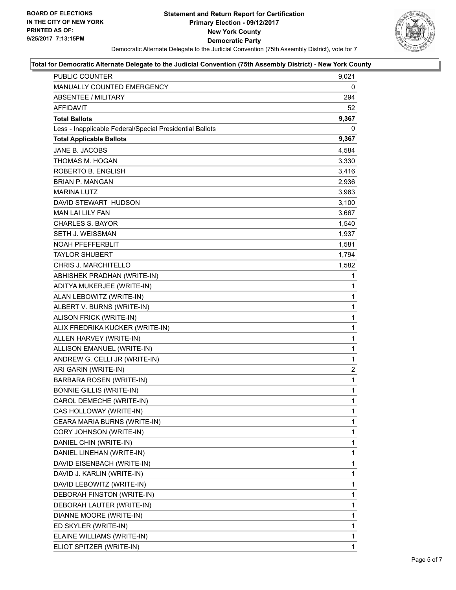

#### **Total for Democratic Alternate Delegate to the Judicial Convention (75th Assembly District) - New York County**

| PUBLIC COUNTER                                           | 9,021        |
|----------------------------------------------------------|--------------|
| MANUALLY COUNTED EMERGENCY                               | 0            |
| ABSENTEE / MILITARY                                      | 294          |
| AFFIDAVIT                                                | 52           |
| <b>Total Ballots</b>                                     | 9,367        |
| Less - Inapplicable Federal/Special Presidential Ballots | 0            |
| <b>Total Applicable Ballots</b>                          | 9,367        |
| JANE B. JACOBS                                           | 4,584        |
| THOMAS M. HOGAN                                          | 3,330        |
| ROBERTO B. ENGLISH                                       | 3,416        |
| <b>BRIAN P. MANGAN</b>                                   | 2,936        |
| <b>MARINA LUTZ</b>                                       | 3,963        |
| DAVID STEWART HUDSON                                     | 3,100        |
| <b>MAN LAI LILY FAN</b>                                  | 3,667        |
| <b>CHARLES S. BAYOR</b>                                  | 1,540        |
| SETH J. WEISSMAN                                         | 1,937        |
| <b>NOAH PFEFFERBLIT</b>                                  | 1,581        |
| <b>TAYLOR SHUBERT</b>                                    | 1,794        |
| CHRIS J. MARCHITELLO                                     | 1,582        |
| ABHISHEK PRADHAN (WRITE-IN)                              | 1            |
| ADITYA MUKERJEE (WRITE-IN)                               | 1            |
| ALAN LEBOWITZ (WRITE-IN)                                 | 1            |
| ALBERT V. BURNS (WRITE-IN)                               | $\mathbf{1}$ |
| ALISON FRICK (WRITE-IN)                                  | 1            |
| ALIX FREDRIKA KUCKER (WRITE-IN)                          | 1            |
| ALLEN HARVEY (WRITE-IN)                                  | $\mathbf{1}$ |
| ALLISON EMANUEL (WRITE-IN)                               | 1            |
| ANDREW G. CELLI JR (WRITE-IN)                            | $\mathbf 1$  |
| ARI GARIN (WRITE-IN)                                     | 2            |
| <b>BARBARA ROSEN (WRITE-IN)</b>                          | $\mathbf{1}$ |
| <b>BONNIE GILLIS (WRITE-IN)</b>                          | 1            |
| CAROL DEMECHE (WRITE-IN)                                 | $\mathbf{1}$ |
| CAS HOLLOWAY (WRITE-IN)                                  | 1            |
| CEARA MARIA BURNS (WRITE-IN)                             | 1            |
| CORY JOHNSON (WRITE-IN)                                  | 1            |
| DANIEL CHIN (WRITE-IN)                                   | 1            |
| DANIEL LINEHAN (WRITE-IN)                                | 1            |
| DAVID EISENBACH (WRITE-IN)                               | 1            |
| DAVID J. KARLIN (WRITE-IN)                               | 1            |
| DAVID LEBOWITZ (WRITE-IN)                                | 1            |
| DEBORAH FINSTON (WRITE-IN)                               | 1            |
| DEBORAH LAUTER (WRITE-IN)                                | 1            |
| DIANNE MOORE (WRITE-IN)                                  | 1            |
| ED SKYLER (WRITE-IN)                                     | 1            |
| ELAINE WILLIAMS (WRITE-IN)                               | 1            |
| ELIOT SPITZER (WRITE-IN)                                 | 1            |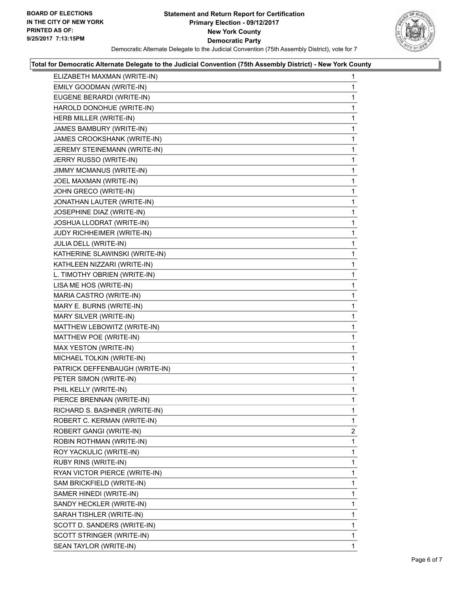#### **Statement and Return Report for Certification Primary Election - 09/12/2017 New York County Democratic Party** Democratic Alternate Delegate to the Judicial Convention (75th Assembly District), vote for 7



## **Total for Democratic Alternate Delegate to the Judicial Convention (75th Assembly District) - New York County**

| ELIZABETH MAXMAN (WRITE-IN)    | 1 |
|--------------------------------|---|
| EMILY GOODMAN (WRITE-IN)       | 1 |
| EUGENE BERARDI (WRITE-IN)      | 1 |
| HAROLD DONOHUE (WRITE-IN)      | 1 |
| HERB MILLER (WRITE-IN)         | 1 |
| JAMES BAMBURY (WRITE-IN)       | 1 |
| JAMES CROOKSHANK (WRITE-IN)    | 1 |
| JEREMY STEINEMANN (WRITE-IN)   | 1 |
| JERRY RUSSO (WRITE-IN)         | 1 |
| JIMMY MCMANUS (WRITE-IN)       | 1 |
| JOEL MAXMAN (WRITE-IN)         | 1 |
| JOHN GRECO (WRITE-IN)          | 1 |
| JONATHAN LAUTER (WRITE-IN)     | 1 |
| JOSEPHINE DIAZ (WRITE-IN)      | 1 |
| JOSHUA LLODRAT (WRITE-IN)      | 1 |
| JUDY RICHHEIMER (WRITE-IN)     | 1 |
| JULIA DELL (WRITE-IN)          | 1 |
| KATHERINE SLAWINSKI (WRITE-IN) | 1 |
| KATHLEEN NIZZARI (WRITE-IN)    | 1 |
| L. TIMOTHY OBRIEN (WRITE-IN)   | 1 |
| LISA ME HOS (WRITE-IN)         | 1 |
| MARIA CASTRO (WRITE-IN)        | 1 |
| MARY E. BURNS (WRITE-IN)       | 1 |
| MARY SILVER (WRITE-IN)         | 1 |
| MATTHEW LEBOWITZ (WRITE-IN)    | 1 |
| MATTHEW POE (WRITE-IN)         | 1 |
| MAX YESTON (WRITE-IN)          | 1 |
| MICHAEL TOLKIN (WRITE-IN)      | 1 |
| PATRICK DEFFENBAUGH (WRITE-IN) | 1 |
| PETER SIMON (WRITE-IN)         | 1 |
| PHIL KELLY (WRITE-IN)          | 1 |
| PIERCE BRENNAN (WRITE-IN)      | 1 |
| RICHARD S. BASHNER (WRITE-IN)  | 1 |
| ROBERT C. KERMAN (WRITE-IN)    | 1 |
| ROBERT GANGI (WRITE-IN)        | 2 |
| ROBIN ROTHMAN (WRITE-IN)       | 1 |
| ROY YACKULIC (WRITE-IN)        | 1 |
| RUBY RINS (WRITE-IN)           | 1 |
| RYAN VICTOR PIERCE (WRITE-IN)  | 1 |
| SAM BRICKFIELD (WRITE-IN)      | 1 |
| SAMER HINEDI (WRITE-IN)        | 1 |
| SANDY HECKLER (WRITE-IN)       | 1 |
| SARAH TISHLER (WRITE-IN)       | 1 |
| SCOTT D. SANDERS (WRITE-IN)    | 1 |
| SCOTT STRINGER (WRITE-IN)      | 1 |
| SEAN TAYLOR (WRITE-IN)         | 1 |
|                                |   |